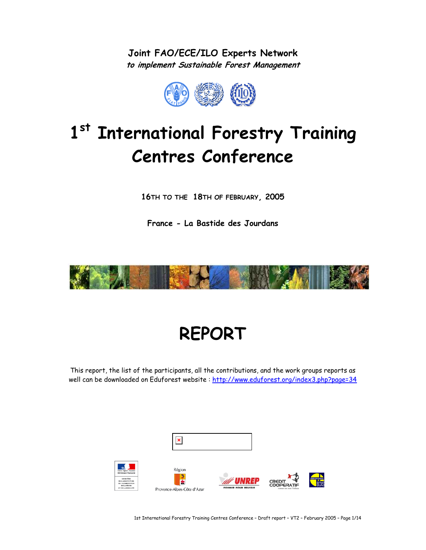**Joint FAO/ECE/ILO Experts Network to implement Sustainable Forest Management** 



# **1st International Forestry Training Centres Conference**

**16TH TO THE 18TH OF FEBRUARY, 2005** 

**France - La Bastide des Jourdans** 



# **REPORT**

This report, the list of the participants, all the contributions, and the work groups reports as well can be downloaded on Eduforest website : http://www.eduforest.org/index3.php?page=34



1st International Forestry Training Centres Conference – Draft report – VT2 – February 2005 – Page 1/14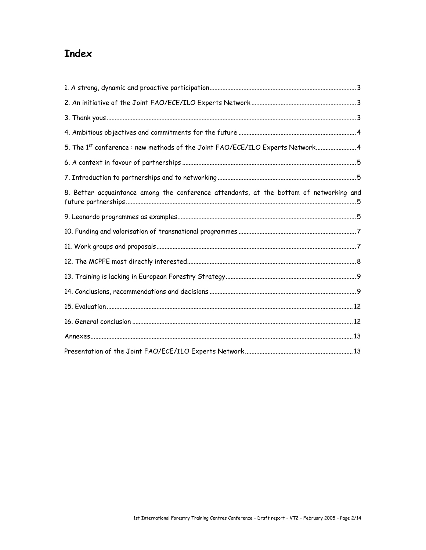# **Index**

| 5. The 1 <sup>st</sup> conference: new methods of the Joint FAO/ECE/ILO Experts Network4 |  |
|------------------------------------------------------------------------------------------|--|
|                                                                                          |  |
|                                                                                          |  |
| 8. Better acquaintance among the conference attendants, at the bottom of networking and  |  |
|                                                                                          |  |
|                                                                                          |  |
|                                                                                          |  |
|                                                                                          |  |
|                                                                                          |  |
|                                                                                          |  |
|                                                                                          |  |
|                                                                                          |  |
|                                                                                          |  |
|                                                                                          |  |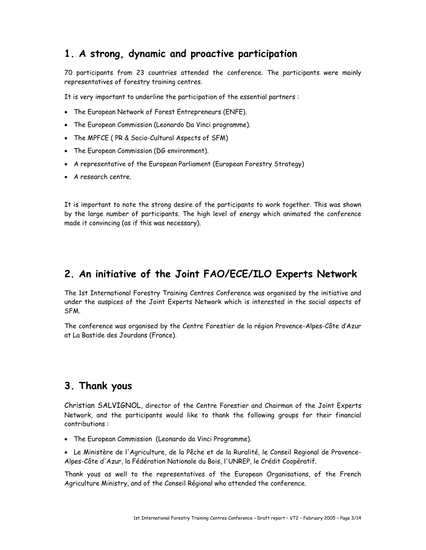# **1. A strong, dynamic and proactive participation**

70 participants from 23 countries attended the conference. The participants were mainly representatives of forestry training centres.

It is very important to underline the participation of the essential partners :

- The European Network of Forest Entrepreneurs (ENFE).
- The European Commission (Leonardo Da Vinci programme).
- The MPFCE ( PR & Socio-Cultural Aspects of SFM)
- The European Commission (DG environment).
- A representative of the European Parliament (European Forestry Strategy)
- A research centre.

It is important to note the strong desire of the participants to work together. This was shown by the large number of participants. The high level of energy which animated the conference made it convincing (as if this was necessary).

## **2. An initiative of the Joint FAO/ECE/ILO Experts Network**

The 1st International Forestry Training Centres Conference was organised by the initiative and under the auspices of the Joint Experts Network which is interested in the social aspects of SFM.

The conference was organised by the Centre Forestier de la région Provence-Alpes-Côte d'Azur at La Bastide des Jourdans (France).

## **3. Thank yous**

Christian SALVIGNOL, director of the Centre Forestier and Chairman of the Joint Experts Network, and the participants would like to thank the following groups for their financial contributions :

• The European Commission (Leonardo da Vinci Programme).

• Le Ministère de l'Agriculture, de la Pêche et de la Ruralité, le Conseil Regional de Provence-Alpes-Côte d'Azur, la Fédération Nationale du Bois, l'UNREP, le Crédit Coopératif.

Thank yous as well to the representatives of the European Organisations, of the French Agriculture Ministry, and of the Conseil Régional who attended the conference.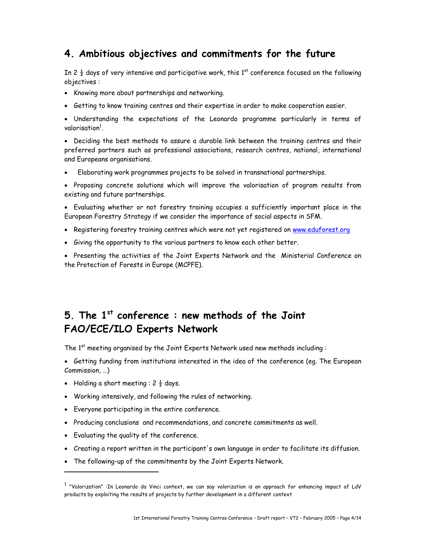## **4. Ambitious objectives and commitments for the future**

In 2  $\frac{1}{2}$  days of very intensive and participative work, this 1<sup>st</sup> conference focused on the following objectives :

- Knowing more about partnerships and networking.
- Getting to know training centres and their expertise in order to make cooperation easier.

• Understanding the expectations of the Leonardo programme particularly in terms of valorisation<sup>1</sup>.

• Deciding the best methods to assure a durable link between the training centres and their preferred partners such as professional associations, research centres, national, international and Europeans organisations.

• Elaborating work programmes projects to be solved in transnational partnerships.

• Proposing concrete solutions which will improve the valorisation of program results from existing and future partnerships.

• Evaluating whether or not forestry training occupies a sufficiently important place in the European Forestry Strategy if we consider the importance of social aspects in SFM.

- Registering forestry training centres which were not yet registered on www.eduforest.org
- Giving the opportunity to the various partners to know each other better.

• Presenting the activities of the Joint Experts Network and the Ministerial Conference on the Protection of Forests in Europe (MCPFE).

# **5. The 1st conference : new methods of the Joint FAO/ECE/ILO Experts Network**

The  $1<sup>st</sup>$  meeting organised by the Joint Experts Network used new methods including :

• Getting funding from institutions interested in the idea of the conference (eg. The European Commission, …)

- Holding a short meeting :  $2\frac{1}{2}$  days.
- Working intensively, and following the rules of networking.
- Everyone participating in the entire conference.
- Producing conclusions and recommendations, and concrete commitments as well.
- Evaluating the quality of the conference.

1

- Creating a report written in the participant's own language in order to facilitate its diffusion.
- The following-up of the commitments by the Joint Experts Network.

<sup>&</sup>lt;sup>1</sup> "Valorization" :In Leonardo da Vinci context, we can say valorization is an approach for enhancing impact of LdV products by exploiting the results of projects by further development in a different context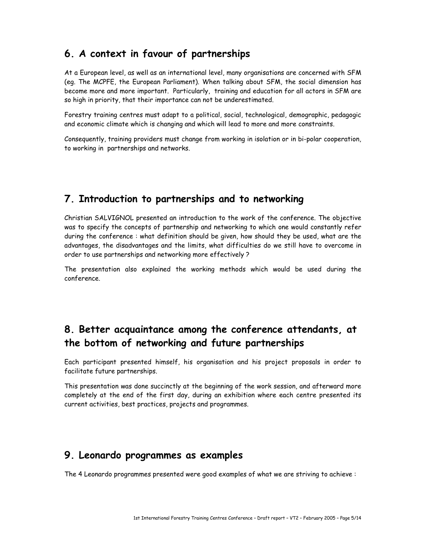# **6. A context in favour of partnerships**

At a European level, as well as an international level, many organisations are concerned with SFM (eg. The MCPFE, the European Parliament). When talking about SFM, the social dimension has become more and more important. Particularly, training and education for all actors in SFM are so high in priority, that their importance can not be underestimated.

Forestry training centres must adapt to a political, social, technological, demographic, pedagogic and economic climate which is changing and which will lead to more and more constraints.

Consequently, training providers must change from working in isolation or in bi-polar cooperation, to working in partnerships and networks.

## **7. Introduction to partnerships and to networking**

Christian SALVIGNOL presented an introduction to the work of the conference. The objective was to specify the concepts of partnership and networking to which one would constantly refer during the conference : what definition should be given, how should they be used, what are the advantages, the disadvantages and the limits, what difficulties do we still have to overcome in order to use partnerships and networking more effectively ?

The presentation also explained the working methods which would be used during the conference.

# **8. Better acquaintance among the conference attendants, at the bottom of networking and future partnerships**

Each participant presented himself, his organisation and his project proposals in order to facilitate future partnerships.

This presentation was done succinctly at the beginning of the work session, and afterward more completely at the end of the first day, during an exhibition where each centre presented its current activities, best practices, projects and programmes.

## **9. Leonardo programmes as examples**

The 4 Leonardo programmes presented were good examples of what we are striving to achieve :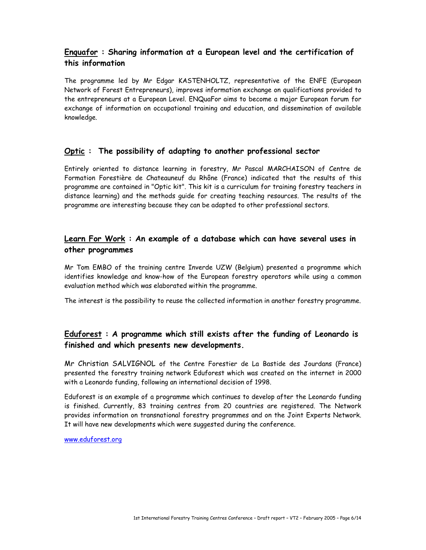## **Enquafor : Sharing information at a European level and the certification of this information**

The programme led by Mr Edgar KASTENHOLTZ, representative of the ENFE (European Network of Forest Entrepreneurs), improves information exchange on qualifications provided to the entrepreneurs at a European Level. ENQuaFor aims to become a major European forum for exchange of information on occupational training and education, and dissemination of available knowledge.

#### **Optic : The possibility of adapting to another professional sector**

Entirely oriented to distance learning in forestry, Mr Pascal MARCHAISON of Centre de Formation Forestière de Chateauneuf du Rhône (France) indicated that the results of this programme are contained in "Optic kit". This kit is a curriculum for training forestry teachers in distance learning) and the methods guide for creating teaching resources. The results of the programme are interesting because they can be adapted to other professional sectors.

## **Learn For Work : An example of a database which can have several uses in other programmes**

Mr Tom EMBO of the training centre Inverde UZW (Belgium) presented a programme which identifies knowledge and know-how of the European forestry operators while using a common evaluation method which was elaborated within the programme.

The interest is the possibility to reuse the collected information in another forestry programme.

## **Eduforest : A programme which still exists after the funding of Leonardo is finished and which presents new developments.**

Mr Christian SALVIGNOL of the Centre Forestier de La Bastide des Jourdans (France) presented the forestry training network Eduforest which was created on the internet in 2000 with a Leonardo funding, following an international decision of 1998.

Eduforest is an example of a programme which continues to develop after the Leonardo funding is finished. Currently, 83 training centres from 20 countries are registered. The Network provides information on transnational forestry programmes and on the Joint Experts Network. It will have new developments which were suggested during the conference.

www.eduforest.org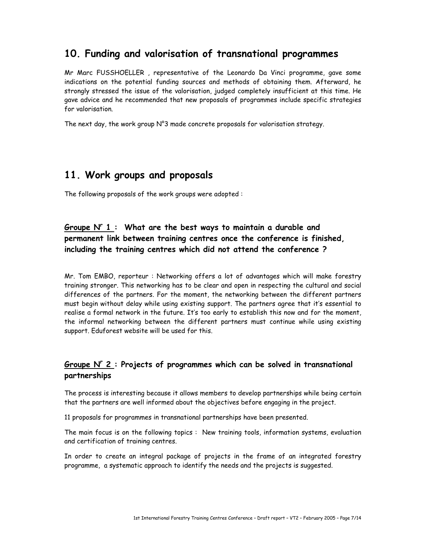# **10. Funding and valorisation of transnational programmes**

Mr Marc FUSSHOELLER , representative of the Leonardo Da Vinci programme, gave some indications on the potential funding sources and methods of obtaining them. Afterward, he strongly stressed the issue of the valorisation, judged completely insufficient at this time. He gave advice and he recommended that new proposals of programmes include specific strategies for valorisation.

The next day, the work group  $N^{\circ}3$  made concrete proposals for valorisation strategy.

# **11. Work groups and proposals**

The following proposals of the work groups were adopted :

## Groupe N° 1 : What are the best ways to maintain a durable and **permanent link between training centres once the conference is finished, including the training centres which did not attend the conference ?**

Mr. Tom EMBO, reporteur : Networking offers a lot of advantages which will make forestry training stronger. This networking has to be clear and open in respecting the cultural and social differences of the partners. For the moment, the networking between the different partners must begin without delay while using existing support. The partners agree that it's essential to realise a formal network in the future. It's too early to establish this now and for the moment, the informal networking between the different partners must continue while using existing support. Eduforest website will be used for this.

## **Groupe Nr 2 : Projects of programmes which can be solved in transnational partnerships**

The process is interesting because it allows members to develop partnerships while being certain that the partners are well informed about the objectives before engaging in the project.

11 proposals for programmes in transnational partnerships have been presented.

The main focus is on the following topics : New training tools, information systems, evaluation and certification of training centres.

In order to create an integral package of projects in the frame of an integrated forestry programme, a systematic approach to identify the needs and the projects is suggested.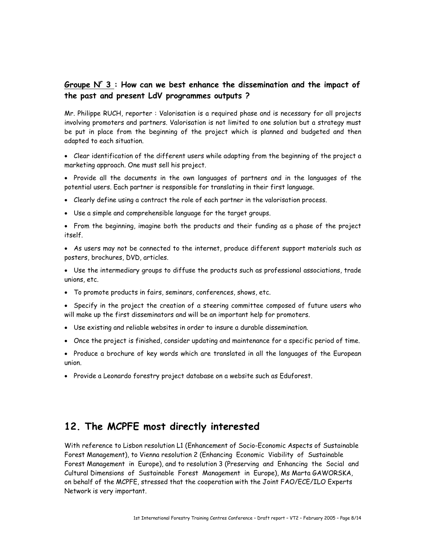## **Groupe Nr 3 : How can we best enhance the dissemination and the impact of the past and present LdV programmes outputs ?**

Mr. Philippe RUCH, reporter : Valorisation is a required phase and is necessary for all projects involving promoters and partners. Valorisation is not limited to one solution but a strategy must be put in place from the beginning of the project which is planned and budgeted and then adapted to each situation.

• Clear identification of the different users while adapting from the beginning of the project a marketing approach. One must sell his project.

• Provide all the documents in the own languages of partners and in the languages of the potential users. Each partner is responsible for translating in their first language.

- Clearly define using a contract the role of each partner in the valorisation process.
- Use a simple and comprehensible language for the target groups.

• From the beginning, imagine both the products and their funding as a phase of the project itself.

- As users may not be connected to the internet, produce different support materials such as posters, brochures, DVD, articles.
- Use the intermediary groups to diffuse the products such as professional associations, trade unions, etc.
- To promote products in fairs, seminars, conferences, shows, etc.
- Specify in the project the creation of a steering committee composed of future users who will make up the first disseminators and will be an important help for promoters.
- Use existing and reliable websites in order to insure a durable dissemination.
- Once the project is finished, consider updating and maintenance for a specific period of time.
- Produce a brochure of key words which are translated in all the languages of the European union.
- Provide a Leonardo forestry project database on a website such as Eduforest.

## **12. The MCPFE most directly interested**

With reference to Lisbon resolution L1 (Enhancement of Socio-Economic Aspects of Sustainable Forest Management), to Vienna resolution 2 (Enhancing Economic Viability of Sustainable Forest Management in Europe), and to resolution 3 (Preserving and Enhancing the Social and Cultural Dimensions of Sustainable Forest Management in Europe), Ms Marta GAWORSKA, on behalf of the MCPFE, stressed that the cooperation with the Joint FAO/ECE/ILO Experts Network is very important.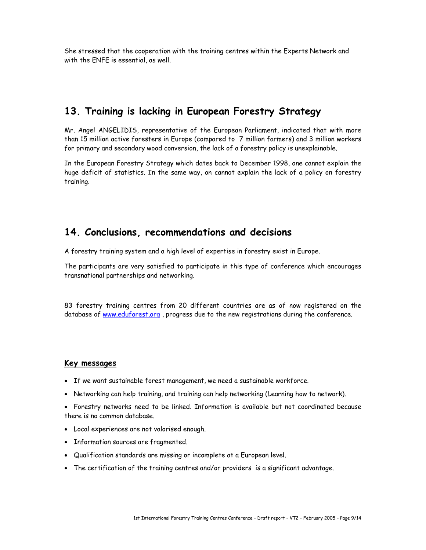She stressed that the cooperation with the training centres within the Experts Network and with the ENFE is essential, as well.

## **13. Training is lacking in European Forestry Strategy**

Mr. Angel ANGELIDIS, representative of the European Parliament, indicated that with more than 15 million active foresters in Europe (compared to 7 million farmers) and 3 million workers for primary and secondary wood conversion, the lack of a forestry policy is unexplainable.

In the European Forestry Strategy which dates back to December 1998, one cannot explain the huge deficit of statistics. In the same way, on cannot explain the lack of a policy on forestry training.

## **14. Conclusions, recommendations and decisions**

A forestry training system and a high level of expertise in forestry exist in Europe.

The participants are very satisfied to participate in this type of conference which encourages transnational partnerships and networking.

83 forestry training centres from 20 different countries are as of now registered on the database of www.eduforest.org , progress due to the new registrations during the conference.

#### **Key messages**

- If we want sustainable forest management, we need a sustainable workforce.
- Networking can help training, and training can help networking (Learning how to network).
- Forestry networks need to be linked. Information is available but not coordinated because there is no common database.
- Local experiences are not valorised enough.
- Information sources are fragmented.
- Qualification standards are missing or incomplete at a European level.
- The certification of the training centres and/or providers is a significant advantage.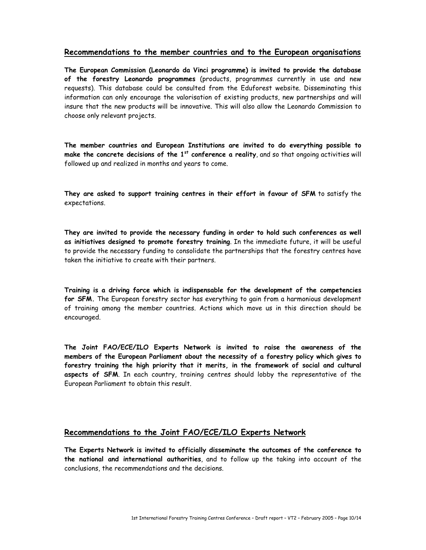#### **Recommendations to the member countries and to the European organisations**

**The European Commission (Leonardo da Vinci programme) is invited to provide the database of the forestry Leonardo programmes** (products, programmes currently in use and new requests). This database could be consulted from the Eduforest website. Disseminating this information can only encourage the valorisation of existing products, new partnerships and will insure that the new products will be innovative. This will also allow the Leonardo Commission to choose only relevant projects.

**The member countries and European Institutions are invited to do everything possible to make the concrete decisions of the 1st conference a reality**, and so that ongoing activities will followed up and realized in months and years to come.

**They are asked to support training centres in their effort in favour of SFM** to satisfy the expectations.

**They are invited to provide the necessary funding in order to hold such conferences as well as initiatives designed to promote forestry training**. In the immediate future, it will be useful to provide the necessary funding to consolidate the partnerships that the forestry centres have taken the initiative to create with their partners.

**Training is a driving force which is indispensable for the development of the competencies for SFM.** The European forestry sector has everything to gain from a harmonious development of training among the member countries. Actions which move us in this direction should be encouraged.

**The Joint FAO/ECE/ILO Experts Network is invited to raise the awareness of the members of the European Parliament about the necessity of a forestry policy which gives to forestry training the high priority that it merits, in the framework of social and cultural aspects of SFM**. In each country, training centres should lobby the representative of the European Parliament to obtain this result.

#### **Recommendations to the Joint FAO/ECE/ILO Experts Network**

**The Experts Network is invited to officially disseminate the outcomes of the conference to the national and international authorities**, and to follow up the taking into account of the conclusions, the recommendations and the decisions.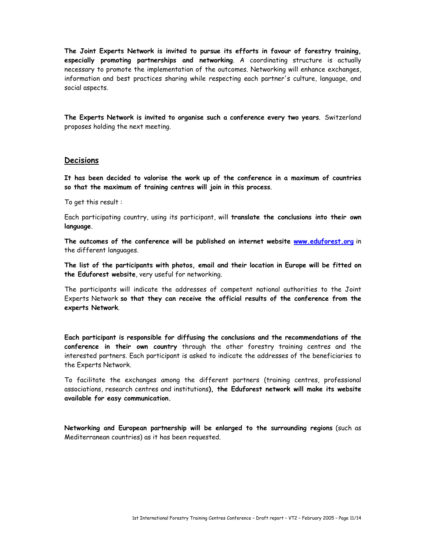**The Joint Experts Network is invited to pursue its efforts in favour of forestry training, especially promoting partnerships and networking**. A coordinating structure is actually necessary to promote the implementation of the outcomes. Networking will enhance exchanges, information and best practices sharing while respecting each partner's culture, language, and social aspects.

**The Experts Network is invited to organise such a conference every two years**. Switzerland proposes holding the next meeting.

#### **Decisions**

**It has been decided to valorise the work up of the conference in a maximum of countries so that the maximum of training centres will join in this process**.

To get this result :

Each participating country, using its participant, will **translate the conclusions into their own language**.

**The outcomes of the conference will be published on internet website www.eduforest.org** in the different languages.

**The list of the participants with photos, email and their location in Europe will be fitted on the Eduforest website**, very useful for networking.

The participants will indicate the addresses of competent national authorities to the Joint Experts Network **so that they can receive the official results of the conference from the experts Network**.

**Each participant is responsible for diffusing the conclusions and the recommendations of the conference in their own country** through the other forestry training centres and the interested partners. Each participant is asked to indicate the addresses of the beneficiaries to the Experts Network.

To facilitate the exchanges among the different partners (training centres, professional associations, research centres and institutions**), the Eduforest network will make its website available for easy communication.** 

**Networking and European partnership will be enlarged to the surrounding regions** (such as Mediterranean countries) as it has been requested.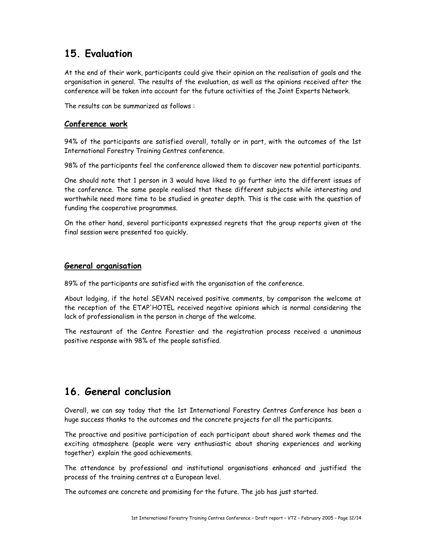# **15. Evaluation**

At the end of their work, participants could give their opinion on the realisation of goals and the organisation in general. The results of the evaluation, as well as the opinions received after the conference will be taken into account for the future activities of the Joint Experts Network.

The results can be summarized as follows :

#### **Conference work**

94% of the participants are satisfied overall, totally or in part, with the outcomes of the 1st International Forestry Training Centres conference.

98% of the participants feel the conference allowed them to discover new potential participants.

One should note that 1 person in 3 would have liked to go further into the different issues of the conference. The same people realised that these different subjects while interesting and worthwhile need more time to be studied in greater depth. This is the case with the question of funding the cooperative programmes.

On the other hand, several participants expressed regrets that the group reports given at the final session were presented too quickly.

#### **General organisation**

89% of the participants are satisfied with the organisation of the conference.

About lodging, if the hotel SEVAN received positive comments, by comparison the welcome at the reception of the ETAP'HOTEL received negative opinions which is normal considering the lack of professionalism in the person in charge of the welcome.

The restaurant of the Centre Forestier and the registration process received a unanimous positive response with 98% of the people satisfied.

# **16. General conclusion**

Overall, we can say today that the 1st International Forestry Centres Conference has been a huge success thanks to the outcomes and the concrete projects for all the participants.

The proactive and positive participation of each participant about shared work themes and the exciting atmosphere (people were very enthusiastic about sharing experiences and working together) explain the good achievements.

The attendance by professional and institutional organisations enhanced and justified the process of the training centres at a European level.

The outcomes are concrete and promising for the future. The job has just started.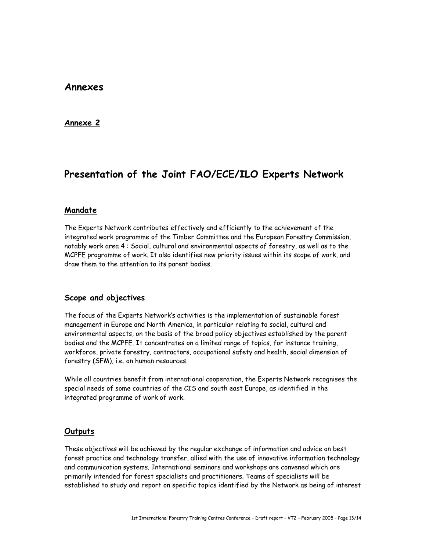### **Annexes**

#### **Annexe 2**

# **Presentation of the Joint FAO/ECE/ILO Experts Network**

#### **Mandate**

The Experts Network contributes effectively and efficiently to the achievement of the integrated work programme of the Timber Committee and the European Forestry Commission, notably work area 4 : Social, cultural and environmental aspects of forestry, as well as to the MCPFE programme of work. It also identifies new priority issues within its scope of work, and draw them to the attention to its parent bodies.

#### **Scope and objectives**

The focus of the Experts Network's activities is the implementation of sustainable forest management in Europe and North America, in particular relating to social, cultural and environmental aspects, on the basis of the broad policy objectives established by the parent bodies and the MCPFE. It concentrates on a limited range of topics, for instance training, workforce, private forestry, contractors, occupational safety and health, social dimension of forestry (SFM), i.e. on human resources.

While all countries benefit from international cooperation, the Experts Network recognises the special needs of some countries of the CIS and south east Europe, as identified in the integrated programme of work of work.

#### **Outputs**

These objectives will be achieved by the regular exchange of information and advice on best forest practice and technology transfer, allied with the use of innovative information technology and communication systems. International seminars and workshops are convened which are primarily intended for forest specialists and practitioners. Teams of specialists will be established to study and report on specific topics identified by the Network as being of interest